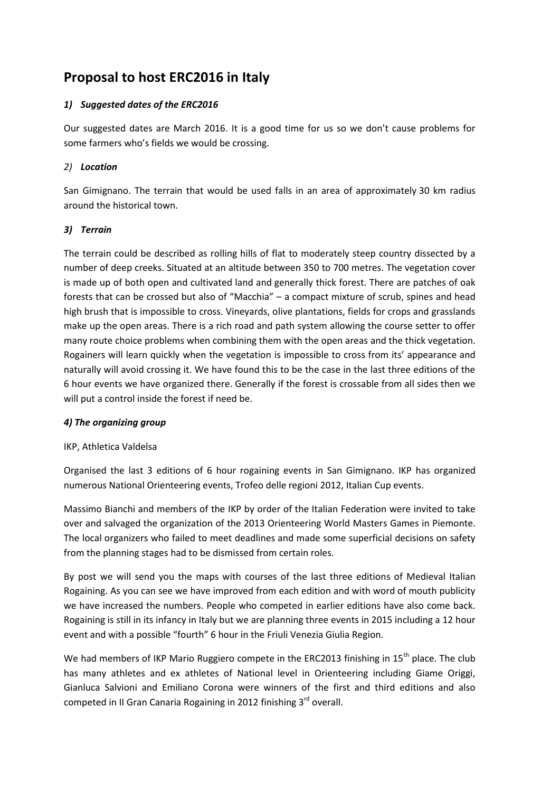# **Proposal to host ERC2016 in Italy**

# *1) Suggested dates of the ERC2016*

Our suggested dates are March 2016. It is a good time for us so we don't cause problems for some farmers who's fields we would be crossing.

# *2) Location*

San Gimignano. The terrain that would be used falls in an area of approximately 30 km radius around the historical town.

## *3) Terrain*

The terrain could be described as rolling hills of flat to moderately steep country dissected by a number of deep creeks. Situated at an altitude between 350 to 700 metres. The vegetation cover is made up of both open and cultivated land and generally thick forest. There are patches of oak forests that can be crossed but also of "Macchia" – a compact mixture of scrub, spines and head high brush that is impossible to cross. Vineyards, olive plantations, fields for crops and grasslands make up the open areas. There is a rich road and path system allowing the course setter to offer many route choice problems when combining them with the open areas and the thick vegetation. Rogainers will learn quickly when the vegetation is impossible to cross from its' appearance and naturally will avoid crossing it. We have found this to be the case in the last three editions of the 6 hour events we have organized there. Generally if the forest is crossable from all sides then we will put a control inside the forest if need be.

### *4) The organizing group*

### IKP, Athletica Valdelsa

Organised the last 3 editions of 6 hour rogaining events in San Gimignano. IKP has organized numerous National Orienteering events, Trofeo delle regioni 2012, Italian Cup events.

Massimo Bianchi and members of the IKP by order of the Italian Federation were invited to take over and salvaged the organization of the 2013 Orienteering World Masters Games in Piemonte. The local organizers who failed to meet deadlines and made some superficial decisions on safety from the planning stages had to be dismissed from certain roles.

By post we will send you the maps with courses of the last three editions of Medieval Italian Rogaining. As you can see we have improved from each edition and with word of mouth publicity we have increased the numbers. People who competed in earlier editions have also come back. Rogaining is still in its infancy in Italy but we are planning three events in 2015 including a 12 hour event and with a possible "fourth" 6 hour in the Friuli Venezia Giulia Region.

We had members of IKP Mario Ruggiero compete in the ERC2013 finishing in  $15<sup>th</sup>$  place. The club has many athletes and ex athletes of National level in Orienteering including Giame Origgi, Gianluca Salvioni and Emiliano Corona were winners of the first and third editions and also competed in II Gran Canaria Rogaining in 2012 finishing 3<sup>rd</sup> overall.